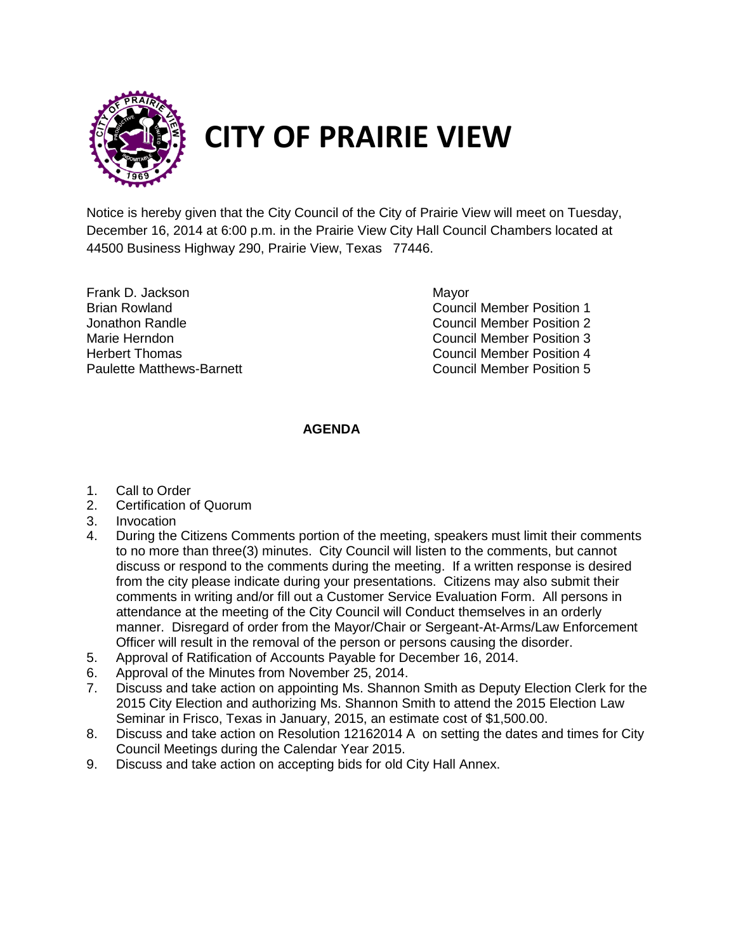

## **CITY OF PRAIRIE VIEW**

Notice is hereby given that the City Council of the City of Prairie View will meet on Tuesday, December 16, 2014 at 6:00 p.m. in the Prairie View City Hall Council Chambers located at 44500 Business Highway 290, Prairie View, Texas 77446.

Frank D. Jackson Mayor

Brian Rowland Council Member Position 1 Jonathon Randle Council Member Position 2 Marie Herndon Council Member Position 3 Herbert Thomas Council Member Position 4 Paulette Matthews-Barnett Council Member Position 5

## **AGENDA**

- 1. Call to Order
- 2. Certification of Quorum
- 3. Invocation
- 4. During the Citizens Comments portion of the meeting, speakers must limit their comments to no more than three(3) minutes. City Council will listen to the comments, but cannot discuss or respond to the comments during the meeting. If a written response is desired from the city please indicate during your presentations. Citizens may also submit their comments in writing and/or fill out a Customer Service Evaluation Form. All persons in attendance at the meeting of the City Council will Conduct themselves in an orderly manner. Disregard of order from the Mayor/Chair or Sergeant-At-Arms/Law Enforcement Officer will result in the removal of the person or persons causing the disorder.
- 5. Approval of Ratification of Accounts Payable for December 16, 2014.
- 6. Approval of the Minutes from November 25, 2014.
- 7. Discuss and take action on appointing Ms. Shannon Smith as Deputy Election Clerk for the 2015 City Election and authorizing Ms. Shannon Smith to attend the 2015 Election Law Seminar in Frisco, Texas in January, 2015, an estimate cost of \$1,500.00.
- 8. Discuss and take action on Resolution 12162014 A on setting the dates and times for City Council Meetings during the Calendar Year 2015.
- 9. Discuss and take action on accepting bids for old City Hall Annex.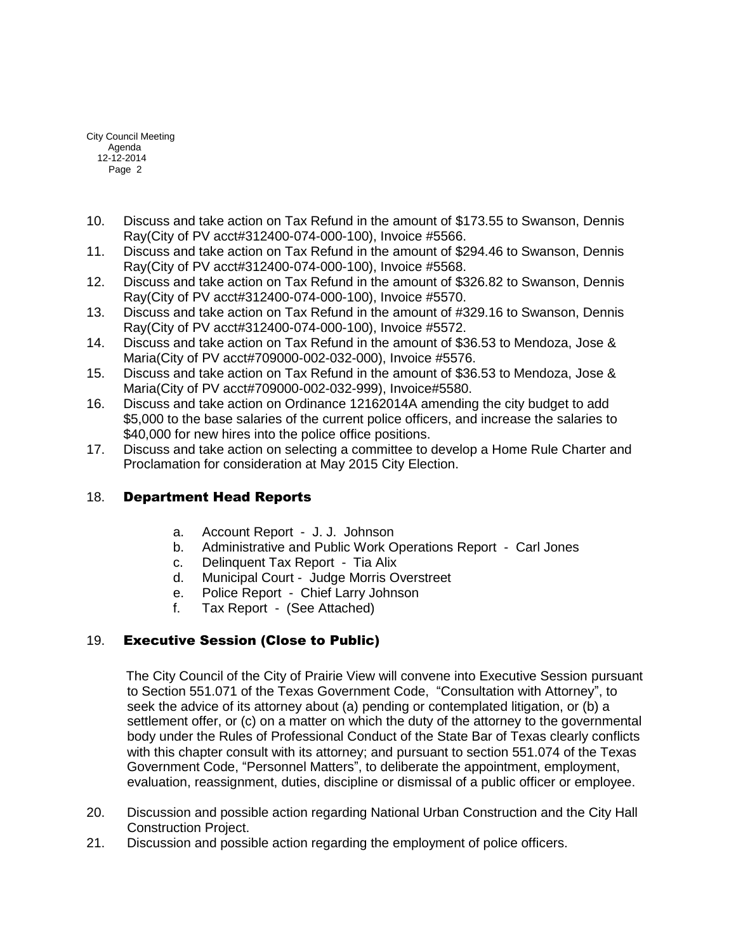City Council Meeting Agenda 12-12-2014 Page 2

- 10. Discuss and take action on Tax Refund in the amount of \$173.55 to Swanson, Dennis Ray(City of PV acct#312400-074-000-100), Invoice #5566.
- 11. Discuss and take action on Tax Refund in the amount of \$294.46 to Swanson, Dennis Ray(City of PV acct#312400-074-000-100), Invoice #5568.
- 12. Discuss and take action on Tax Refund in the amount of \$326.82 to Swanson, Dennis Ray(City of PV acct#312400-074-000-100), Invoice #5570.
- 13. Discuss and take action on Tax Refund in the amount of #329.16 to Swanson, Dennis Ray(City of PV acct#312400-074-000-100), Invoice #5572.
- 14. Discuss and take action on Tax Refund in the amount of \$36.53 to Mendoza, Jose & Maria(City of PV acct#709000-002-032-000), Invoice #5576.
- 15. Discuss and take action on Tax Refund in the amount of \$36.53 to Mendoza, Jose & Maria(City of PV acct#709000-002-032-999), Invoice#5580.
- 16. Discuss and take action on Ordinance 12162014A amending the city budget to add \$5,000 to the base salaries of the current police officers, and increase the salaries to \$40,000 for new hires into the police office positions.
- 17. Discuss and take action on selecting a committee to develop a Home Rule Charter and Proclamation for consideration at May 2015 City Election.

## 18. Department Head Reports

- a. Account Report J. J. Johnson
- b. Administrative and Public Work Operations Report Carl Jones
- c. Delinquent Tax Report Tia Alix
- d. Municipal Court Judge Morris Overstreet
- e. Police Report Chief Larry Johnson
- f. Tax Report (See Attached)

## 19. Executive Session (Close to Public)

 The City Council of the City of Prairie View will convene into Executive Session pursuant to Section 551.071 of the Texas Government Code, "Consultation with Attorney", to seek the advice of its attorney about (a) pending or contemplated litigation, or (b) a settlement offer, or (c) on a matter on which the duty of the attorney to the governmental body under the Rules of Professional Conduct of the State Bar of Texas clearly conflicts with this chapter consult with its attorney; and pursuant to section 551.074 of the Texas Government Code, "Personnel Matters", to deliberate the appointment, employment, evaluation, reassignment, duties, discipline or dismissal of a public officer or employee.

- 20. Discussion and possible action regarding National Urban Construction and the City Hall Construction Project.
- 21. Discussion and possible action regarding the employment of police officers.